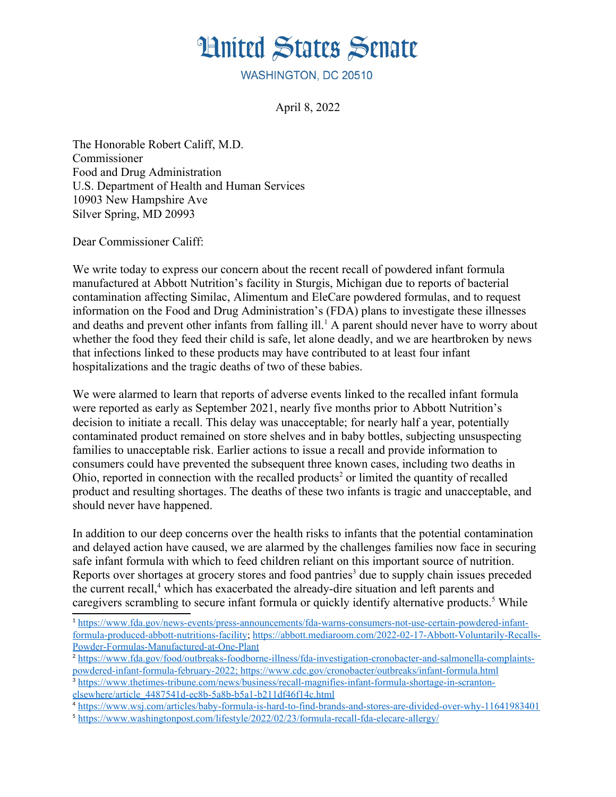## **Hnited States Senate**

WASHINGTON, DC 20510

<span id="page-0-0"></span>April 8, 2022

The Honorable Robert Califf, M.D. Commissioner Food and Drug Administration U.S. Department of Health and Human Services 10903 New Hampshire Ave Silver Spring, MD 20993

Dear Commissioner Califf:

We write today to express our concern about the recent recall of powdered infant formula manufactured at Abbott Nutrition's facility in Sturgis, Michigan due to reports of bacterial contamination affecting Similac, Alimentum and EleCare powdered formulas, and to request information on the Food and Drug Administration's (FDA) plans to investigate these illnesses and deaths and prevent other infants from falling ill  $\hat{I}$  A parent should never have to worry about whether the food they feed their child is safe, let alone deadly, and we are heartbroken by news that infections linked to these products may have contributed to at least four infant hospitalizations and the tragic deaths of two of these babies.

We were alarmed to learn that reports of adverse events linked to the recalled infant formula were reported as early as September 2021, nearly five months prior to Abbott Nutrition's decision to initiate a recall. This delay was unacceptable; for nearly half a year, potentially contaminated product remained on store shelves and in baby bottles, subjecting unsuspecting families to unacceptable risk. Earlier actions to issue a recall and provide information to consumers could have prevented the subsequent three known cases, including two deaths in Ohio, reported in connection with the recalled products<sup>2</sup> or limited the quantity of recalled product and resulting shortages. The deaths of these two infants is tragic and unacceptable, and should never have happened.

<span id="page-0-4"></span><span id="page-0-2"></span>In addition to our deep concerns over the health risks to infants that the potential contamination and delayed action have caused, we are alarmed by the challenges families now face in securing safe infant formula with which to feed children reliant on this important source of nutrition. Reports over shortages at grocery stores and food pantries<sup>[3](#page-0-5)</sup> due to supply chain issues preceded the current recall.<sup>4</sup> which has exacerbated the already-dire situation and left parents and caregivers scrambling to secure infant formula or quickly identify alternative products.<sup>[5](#page-0-9)</sup> While

<span id="page-0-8"></span><span id="page-0-6"></span><span id="page-0-1"></span>[<sup>1</sup>](#page-0-0) [https://www.fda.gov/news-events/press-announcements/fda-warns-consumers-not-use-certain-powdered-infant](https://www.fda.gov/news-events/press-announcements/fda-warns-consumers-not-use-certain-powdered-infant-formula-produced-abbott-nutritions-facility)[formula-produced-abbott-nutritions-facility](https://www.fda.gov/news-events/press-announcements/fda-warns-consumers-not-use-certain-powdered-infant-formula-produced-abbott-nutritions-facility); [https://abbott.mediaroom.com/2022-02-17-Abbott-Voluntarily-Recalls-](https://abbott.mediaroom.com/2022-02-17-Abbott-Voluntarily-Recalls-Powder-Formulas-Manufactured-at-One-Plant)[Powder-Formulas-Manufactured-at-One-Plant](https://abbott.mediaroom.com/2022-02-17-Abbott-Voluntarily-Recalls-Powder-Formulas-Manufactured-at-One-Plant) 

<span id="page-0-3"></span> [powdered-infant-formula-february-2022;](https://www.fda.gov/food/outbreaks-foodborne-illness/fda-investigation-cronobacter-and-salmonella-complaints-powdered-infant-formula-february-2022) <https://www.cdc.gov/cronobacter/outbreaks/infant-formula.html>[2](#page-0-2) [https://www.fda.gov/food/outbreaks-foodborne-illness/fda-investigation-cronobacter-and-salmonella-complaints-](https://www.fda.gov/food/outbreaks-foodborne-illness/fda-investigation-cronobacter-and-salmonella-complaints-powdered-infant-formula-february-2022)

<span id="page-0-5"></span><sup>&</sup>lt;sup>[3](#page-0-4)</sup> [https://www.thetimes-tribune.com/news/business/recall-magnifies-infant-formula-shortage-in-scranton](https://www.thetimes-tribune.com/news/business/recall-magnifies-infant-formula-shortage-in-scranton-elsewhere/article_4487541d-ec8b-5a8b-b5a1-b211df46f14c.html)[elsewhere/article\\_4487541d-ec8b-5a8b-b5a1-b211df46f14c.html](https://www.thetimes-tribune.com/news/business/recall-magnifies-infant-formula-shortage-in-scranton-elsewhere/article_4487541d-ec8b-5a8b-b5a1-b211df46f14c.html) 

<span id="page-0-7"></span>[<sup>4</sup>](#page-0-6) <https://www.wsj.com/articles/baby-formula-is-hard-to-find-brands-and-stores-are-divided-over-why-11641983401>

<span id="page-0-9"></span>[<sup>5</sup>](#page-0-8) <https://www.washingtonpost.com/lifestyle/2022/02/23/formula-recall-fda-elecare-allergy/>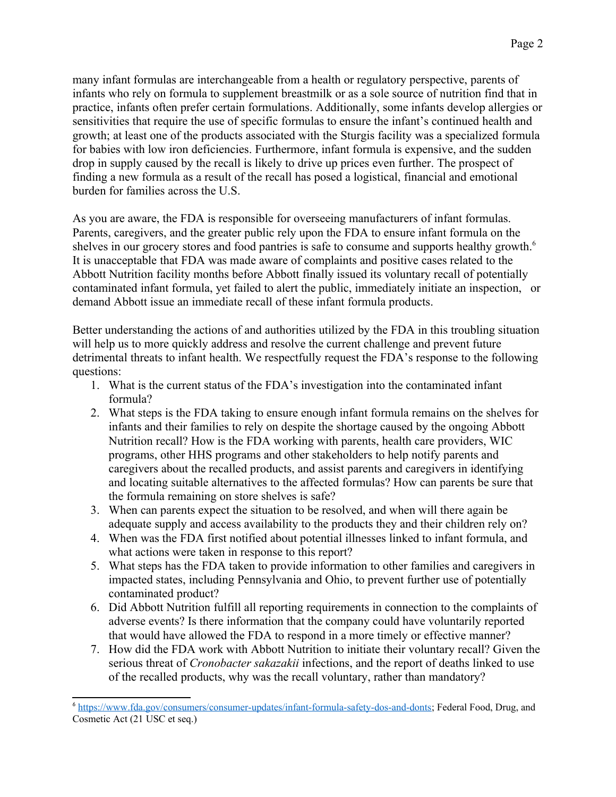many infant formulas are interchangeable from a health or regulatory perspective, parents of infants who rely on formula to supplement breastmilk or as a sole source of nutrition find that in practice, infants often prefer certain formulations. Additionally, some infants develop allergies or sensitivities that require the use of specific formulas to ensure the infant's continued health and growth; at least one of the products associated with the Sturgis facility was a specialized formula for babies with low iron deficiencies. Furthermore, infant formula is expensive, and the sudden drop in supply caused by the recall is likely to drive up prices even further. The prospect of finding a new formula as a result of the recall has posed a logistical, financial and emotional burden for families across the U.S.

<span id="page-1-0"></span>As you are aware, the FDA is responsible for overseeing manufacturers of infant formulas. Parents, caregivers, and the greater public rely upon the FDA to ensure infant formula on the shelves in our grocery stores and food pantries is safe to consume and supports healthy growth.<sup>6</sup> It is unacceptable that FDA was made aware of complaints and positive cases related to the Abbott Nutrition facility months before Abbott finally issued its voluntary recall of potentially contaminated infant formula, yet failed to alert the public, immediately initiate an inspection, or demand Abbott issue an immediate recall of these infant formula products.

Better understanding the actions of and authorities utilized by the FDA in this troubling situation will help us to more quickly address and resolve the current challenge and prevent future detrimental threats to infant health. We respectfully request the FDA's response to the following questions:

- 1. What is the current status of the FDA's investigation into the contaminated infant formula?
- 2. What steps is the FDA taking to ensure enough infant formula remains on the shelves for infants and their families to rely on despite the shortage caused by the ongoing Abbott Nutrition recall? How is the FDA working with parents, health care providers, WIC programs, other HHS programs and other stakeholders to help notify parents and caregivers about the recalled products, and assist parents and caregivers in identifying and locating suitable alternatives to the affected formulas? How can parents be sure that the formula remaining on store shelves is safe?
- 3. When can parents expect the situation to be resolved, and when will there again be adequate supply and access availability to the products they and their children rely on?
- 4. When was the FDA first notified about potential illnesses linked to infant formula, and what actions were taken in response to this report?
- 5. What steps has the FDA taken to provide information to other families and caregivers in impacted states, including Pennsylvania and Ohio, to prevent further use of potentially contaminated product?
- 6. Did Abbott Nutrition fulfill all reporting requirements in connection to the complaints of adverse events? Is there information that the company could have voluntarily reported that would have allowed the FDA to respond in a more timely or effective manner?
- 7. How did the FDA work with Abbott Nutrition to initiate their voluntary recall? Given the serious threat of *Cronobacter sakazakii* infections, and the report of deaths linked to use of the recalled products, why was the recall voluntary, rather than mandatory?

<span id="page-1-1"></span>[<sup>6</sup>](#page-1-0) <https://www.fda.gov/consumers/consumer-updates/infant-formula-safety-dos-and-donts>; Federal Food, Drug, and Cosmetic Act (21 USC et seq.)